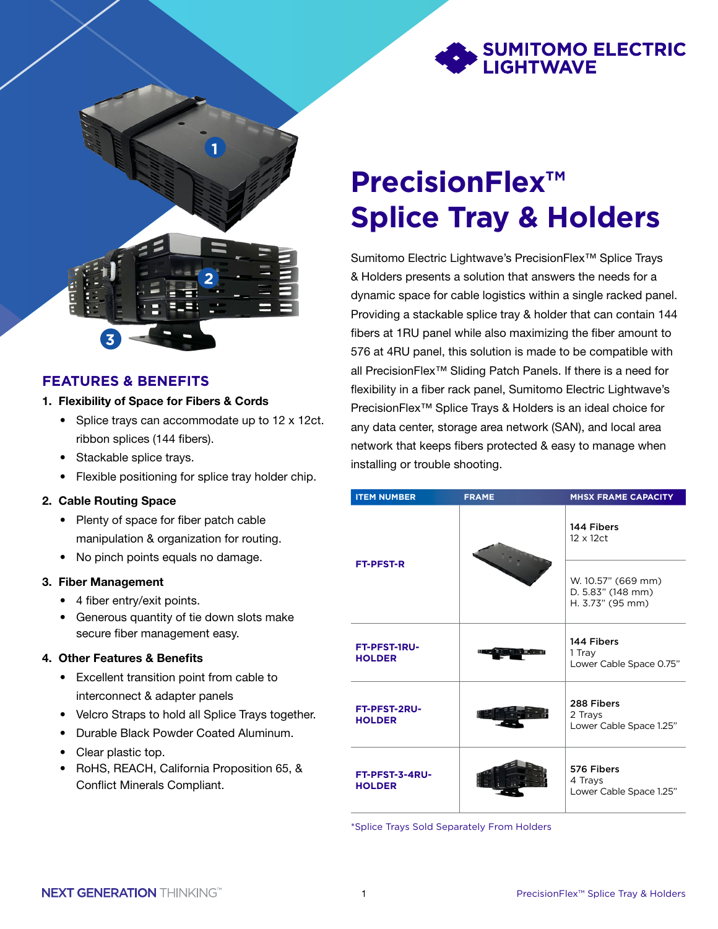



### **FEATURES & BENEFITS**

### 1. Flexibility of Space for Fibers & Cords

- Splice trays can accommodate up to 12 x 12ct. ribbon splices (144 fibers).
- Stackable splice trays.
- Flexible positioning for splice tray holder chip.

### 2. Cable Routing Space

- Plenty of space for fiber patch cable manipulation & organization for routing.
- No pinch points equals no damage.

### 3. Fiber Management

- 4 fiber entry/exit points.
- Generous quantity of tie down slots make secure fiber management easy.

### 4. Other Features & Benefits

- Excellent transition point from cable to interconnect & adapter panels
- Velcro Straps to hold all Splice Trays together.
- Durable Black Powder Coated Aluminum.
- Clear plastic top.
- RoHS, REACH, California Proposition 65, & Conflict Minerals Compliant.

# **PrecisionFlex™ Splice Tray & Holders**

Sumitomo Electric Lightwave's PrecisionFlex™ Splice Trays & Holders presents a solution that answers the needs for a dynamic space for cable logistics within a single racked panel. Providing a stackable splice tray & holder that can contain 144 fibers at 1RU panel while also maximizing the fiber amount to 576 at 4RU panel, this solution is made to be compatible with all PrecisionFlex™ Sliding Patch Panels. If there is a need for flexibility in a fiber rack panel, Sumitomo Electric Lightwave's PrecisionFlex™ Splice Trays & Holders is an ideal choice for any data center, storage area network (SAN), and local area network that keeps fibers protected & easy to manage when installing or trouble shooting.

|  | <b>ITEM NUMBER</b>              | <b>FRAME</b> | <b>MHSX FRAME CAPACITY</b>                                  |
|--|---------------------------------|--------------|-------------------------------------------------------------|
|  | <b>FT-PFST-R</b>                |              | 144 Fibers<br>12 x 12ct                                     |
|  |                                 |              | W. 10.57" (669 mm)<br>D. 5.83" (148 mm)<br>H. 3.73" (95 mm) |
|  | FT-PFST-1RU-<br><b>HOLDER</b>   |              | 144 Fibers<br>1 Tray<br>Lower Cable Space 0.75"             |
|  | FT-PFST-2RU-<br><b>HOLDER</b>   |              | 288 Fibers<br>2 Trays<br>Lower Cable Space 1.25"            |
|  | FT-PFST-3-4RU-<br><b>HOLDER</b> |              | 576 Fibers<br>4 Trays<br>Lower Cable Space 1.25"            |

\*Splice Trays Sold Separately From Holders